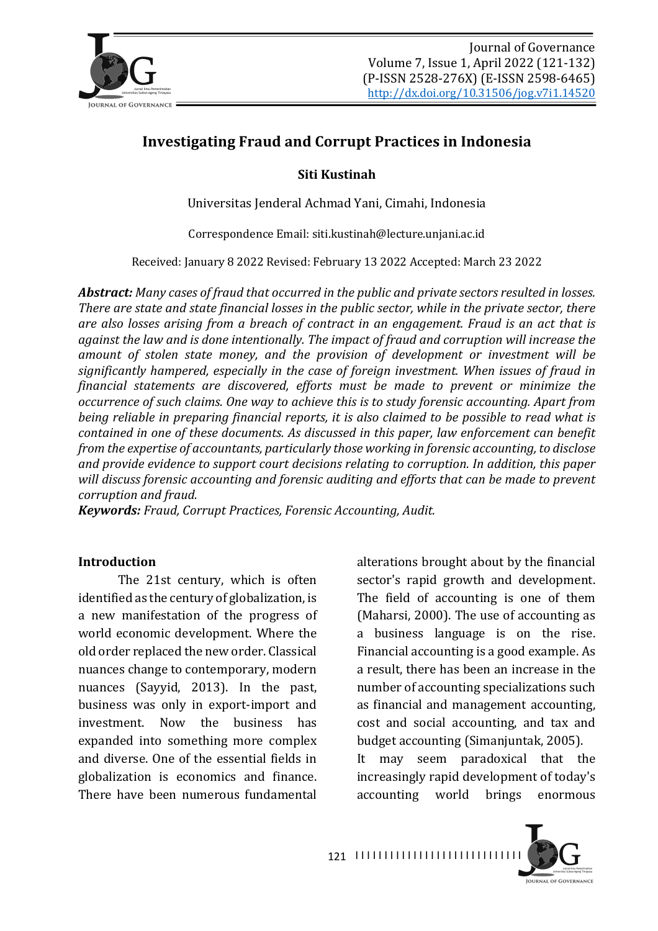

# **Investigating Fraud and Corrupt Practices in Indonesia**

### **Siti Kustinah**

Universitas Jenderal Achmad Yani, Cimahi, Indonesia

Correspondence Email: siti.kustinah@lecture.unjani.ac.id

Received: January 8 2022 Revised: February 13 2022 Accepted: March 23 2022

**Abstract:** Many cases of fraud that occurred in the public and private sectors resulted in losses. There are state and state financial losses in the public sector, while in the private sector, there *are also losses arising from a breach of contract in an engagement. Fraud is an act that is* against the law and is done intentionally. The impact of fraud and corruption will increase the amount of stolen state money, and the provision of development or investment will be significantly hampered, especially in the case of foreign investment. When issues of fraud in *financial statements are discovered, efforts must be made to prevent or minimize the occurrence of such claims. One way to achieve this is to study forensic accounting. Apart from being reliable in preparing financial reports, it is also claimed to be possible to read what is contained in one of these documents. As discussed in this paper, law enforcement can benefit from the expertise of accountants, particularly those working in forensic accounting, to disclose* and provide evidence to support court decisions relating to corruption. In addition, this paper will discuss forensic accounting and forensic auditing and efforts that can be made to prevent *corruption and fraud.*

*Keywords: Fraud, Corrupt Practices, Forensic Accounting, Audit.* 

#### **Introduction**

The 21st century, which is often identified as the century of globalization, is a new manifestation of the progress of world economic development. Where the old order replaced the new order. Classical nuances change to contemporary, modern nuances (Sayyid, 2013). In the past, business was only in export-import and investment. Now the business has expanded into something more complex and diverse. One of the essential fields in globalization is economics and finance. There have been numerous fundamental

alterations brought about by the financial sector's rapid growth and development. The field of accounting is one of them (Maharsi, 2000). The use of accounting as a business language is on the rise. Financial accounting is a good example. As a result, there has been an increase in the number of accounting specializations such as financial and management accounting, cost and social accounting, and tax and budget accounting (Simanjuntak, 2005).

It may seem paradoxical that the increasingly rapid development of today's accounting world brings enormous

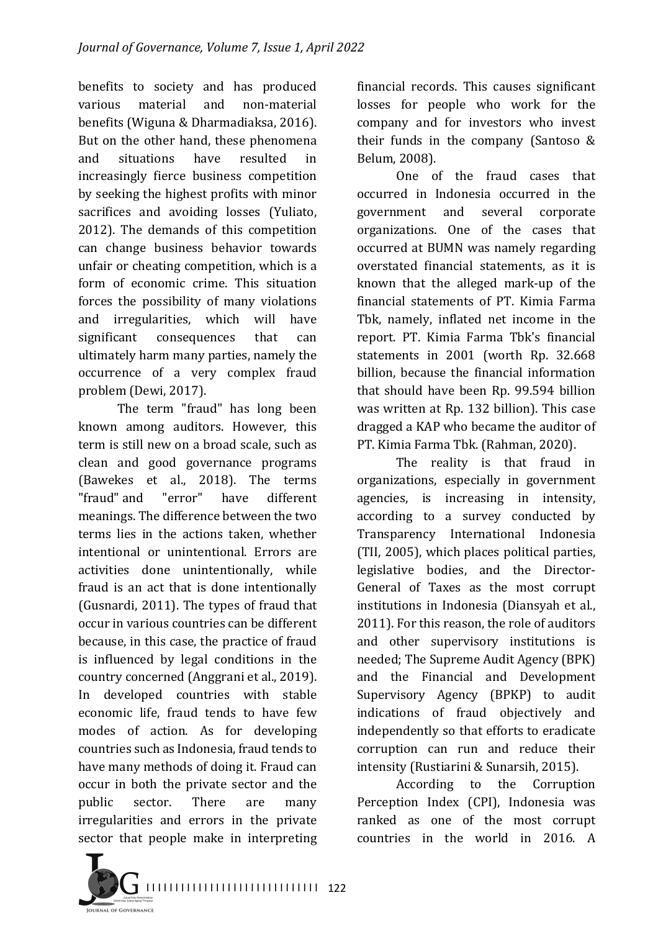benefits to society and has produced various material and non-material benefits (Wiguna & Dharmadiaksa, 2016). But on the other hand, these phenomena and situations have resulted in increasingly fierce business competition by seeking the highest profits with minor sacrifices and avoiding losses (Yuliato, 2012). The demands of this competition can change business behavior towards unfair or cheating competition, which is a form of economic crime. This situation forces the possibility of many violations and irregularities, which will have significant consequences that can ultimately harm many parties, namely the occurrence of a very complex fraud problem (Dewi, 2017).

The term "fraud" has long been known among auditors. However, this term is still new on a broad scale, such as clean and good governance programs (Bawekes et al., 2018). The terms "fraud" and "error" have different meanings. The difference between the two terms lies in the actions taken, whether intentional or unintentional. Errors are activities done unintentionally, while fraud is an act that is done intentionally (Gusnardi, 2011). The types of fraud that occur in various countries can be different because, in this case, the practice of fraud is influenced by legal conditions in the country concerned (Anggrani et al., 2019). In developed countries with stable economic life, fraud tends to have few modes of action. As for developing countries such as Indonesia, fraud tends to have many methods of doing it. Fraud can occur in both the private sector and the public sector. There are many irregularities and errors in the private sector that people make in interpreting

financial records. This causes significant losses for people who work for the company and for investors who invest their funds in the company (Santoso  $&$ Belum, 2008).

One of the fraud cases that occurred in Indonesia occurred in the government and several corporate organizations. One of the cases that occurred at BUMN was namely regarding overstated financial statements, as it is known that the alleged mark-up of the financial statements of PT. Kimia Farma Tbk, namely, inflated net income in the report. PT. Kimia Farma Tbk's financial statements in 2001 (worth Rp. 32.668) billion, because the financial information that should have been Rp. 99.594 billion was written at Rp. 132 billion). This case dragged a KAP who became the auditor of PT. Kimia Farma Tbk. (Rahman, 2020).

The reality is that fraud in organizations, especially in government agencies, is increasing in intensity, according to a survey conducted by Transparency International Indonesia (TII, 2005), which places political parties, legislative bodies, and the Director-General of Taxes as the most corrupt institutions in Indonesia (Diansyah et al., 2011). For this reason, the role of auditors and other supervisory institutions is needed; The Supreme Audit Agency (BPK) and the Financial and Development Supervisory Agency (BPKP) to audit indications of fraud objectively and independently so that efforts to eradicate corruption can run and reduce their intensity (Rustiarini & Sunarsih, 2015).

According to the Corruption Perception Index (CPI), Indonesia was ranked as one of the most corrupt countries in the world in 2016. A

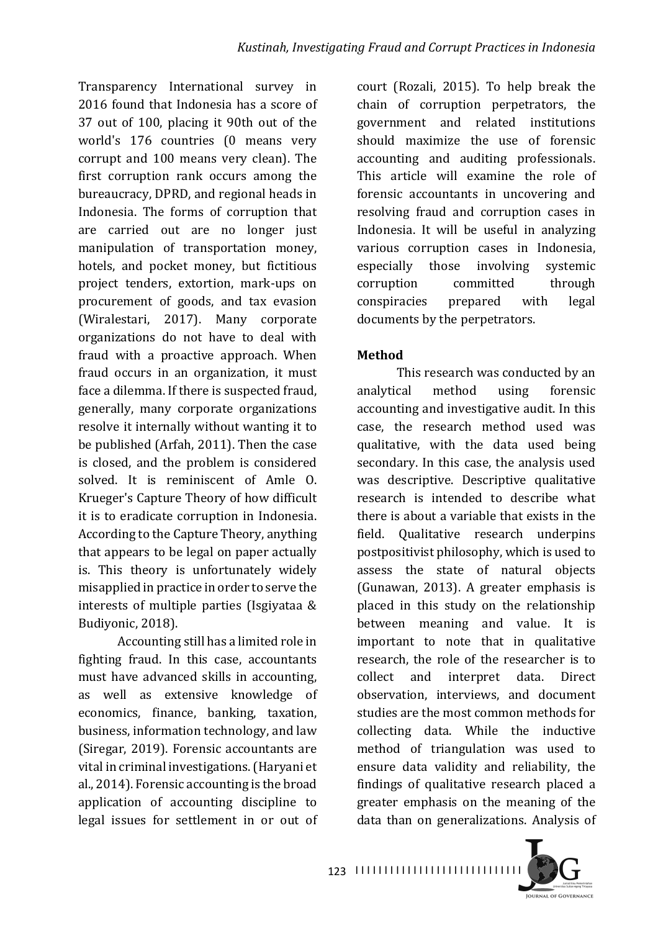Transparency International survey in 2016 found that Indonesia has a score of 37 out of 100, placing it 90th out of the world's 176 countries (0 means very corrupt and 100 means very clean). The first corruption rank occurs among the bureaucracy, DPRD, and regional heads in Indonesia. The forms of corruption that are carried out are no longer just manipulation of transportation money, hotels, and pocket money, but fictitious project tenders, extortion, mark-ups on procurement of goods, and tax evasion (Wiralestari, 2017). Many corporate organizations do not have to deal with fraud with a proactive approach. When fraud occurs in an organization, it must face a dilemma. If there is suspected fraud, generally, many corporate organizations resolve it internally without wanting it to be published (Arfah, 2011). Then the case is closed, and the problem is considered solved. It is reminiscent of Amle O. Krueger's Capture Theory of how difficult it is to eradicate corruption in Indonesia. According to the Capture Theory, anything that appears to be legal on paper actually is. This theory is unfortunately widely misapplied in practice in order to serve the interests of multiple parties (Isgiyataa  $&$ Budivonic, 2018).

Accounting still has a limited role in fighting fraud. In this case, accountants must have advanced skills in accounting, as well as extensive knowledge of economics, finance, banking, taxation, business, information technology, and law (Siregar, 2019). Forensic accountants are vital in criminal investigations. (Haryani et al., 2014). Forensic accounting is the broad application of accounting discipline to legal issues for settlement in or out of court (Rozali, 2015). To help break the chain of corruption perpetrators, the government and related institutions should maximize the use of forensic accounting and auditing professionals. This article will examine the role of forensic accountants in uncovering and resolving fraud and corruption cases in Indonesia. It will be useful in analyzing various corruption cases in Indonesia, especially those involving systemic corruption committed through conspiracies prepared with legal documents by the perpetrators.

## **Method**

This research was conducted by an analytical method using forensic accounting and investigative audit. In this case, the research method used was qualitative, with the data used being secondary. In this case, the analysis used was descriptive. Descriptive qualitative research is intended to describe what there is about a variable that exists in the field. Qualitative research underpins postpositivist philosophy, which is used to assess the state of natural objects  $G$ unawan, 2013). A greater emphasis is placed in this study on the relationship between meaning and value. It is important to note that in qualitative research, the role of the researcher is to collect and interpret data. Direct observation, interviews, and document studies are the most common methods for collecting data. While the inductive method of triangulation was used to ensure data validity and reliability, the findings of qualitative research placed a greater emphasis on the meaning of the data than on generalizations. Analysis of

**IQURNAL OF GOVERNANCI** 

123 | 11111111111111111111111111111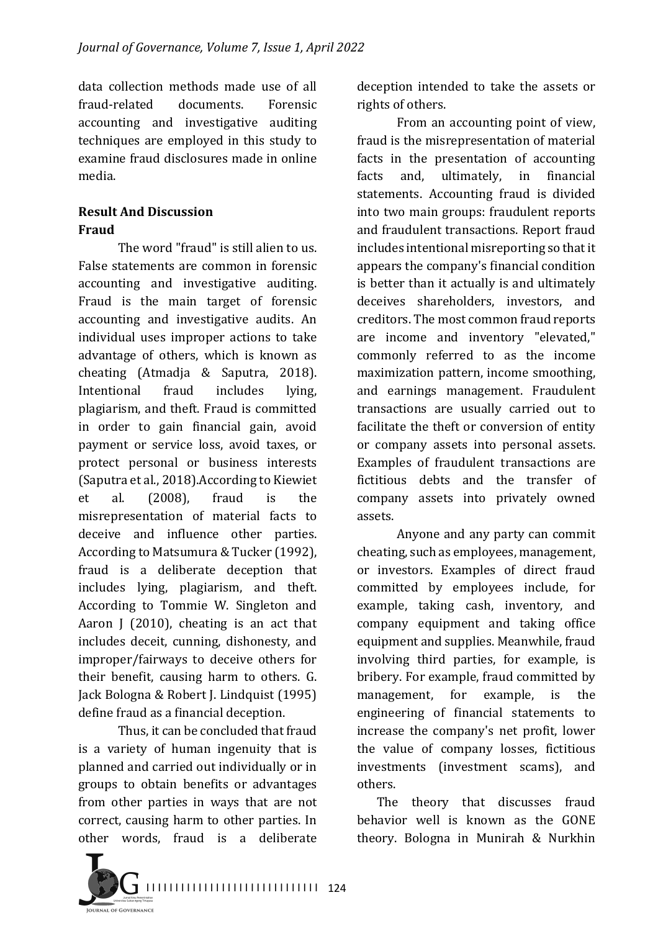data collection methods made use of all fraud-related documents. Forensic accounting and investigative auditing techniques are employed in this study to examine fraud disclosures made in online media.

## **Result And Discussion Fraud**

The word "fraud" is still alien to us. False statements are common in forensic accounting and investigative auditing. Fraud is the main target of forensic accounting and investigative audits. An individual uses improper actions to take advantage of others, which is known as cheating (Atmadja & Saputra, 2018). Intentional fraud includes lying, plagiarism, and theft. Fraud is committed in order to gain financial gain, avoid payment or service loss, avoid taxes, or protect personal or business interests (Saputra et al., 2018). According to Kiewiet et al. (2008), fraud is the misrepresentation of material facts to deceive and influence other parties. According to Matsumura & Tucker (1992), fraud is a deliberate deception that includes lying, plagiarism, and theft. According to Tommie W. Singleton and Aaron I (2010), cheating is an act that includes deceit, cunning, dishonesty, and improper/fairways to deceive others for their benefit, causing harm to others. G. Jack Bologna & Robert J. Lindquist (1995) define fraud as a financial deception.

Thus, it can be concluded that fraud is a variety of human ingenuity that is planned and carried out individually or in groups to obtain benefits or advantages from other parties in ways that are not correct, causing harm to other parties. In other words, fraud is a deliberate



From an accounting point of view, fraud is the misrepresentation of material facts in the presentation of accounting facts and, ultimately, in financial statements. Accounting fraud is divided into two main groups: fraudulent reports and fraudulent transactions. Report fraud includes intentional misreporting so that it appears the company's financial condition is better than it actually is and ultimately deceives shareholders, investors, and creditors. The most common fraud reports are income and inventory "elevated," commonly referred to as the income maximization pattern, income smoothing, and earnings management. Fraudulent transactions are usually carried out to facilitate the theft or conversion of entity or company assets into personal assets. Examples of fraudulent transactions are fictitious debts and the transfer of company assets into privately owned assets.

Anyone and any party can commit cheating, such as employees, management, or investors. Examples of direct fraud committed by employees include, for example, taking cash, inventory, and company equipment and taking office equipment and supplies. Meanwhile, fraud involving third parties, for example, is bribery. For example, fraud committed by management, for example, is the engineering of financial statements to increase the company's net profit, lower the value of company losses, fictitious investments (investment scams), and others.

The theory that discusses fraud behavior well is known as the GONE theory. Bologna in Munirah & Nurkhin

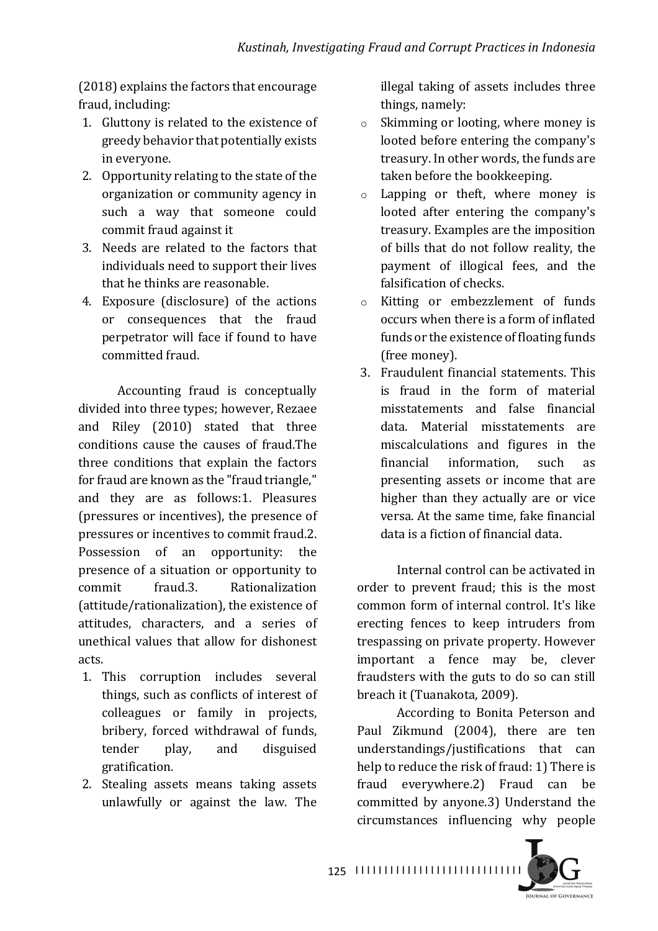$(2018)$  explains the factors that encourage fraud, including:

- 1. Gluttony is related to the existence of greedy behavior that potentially exists in everyone.
- 2. Opportunity relating to the state of the organization or community agency in such a way that someone could commit fraud against it
- 3. Needs are related to the factors that individuals need to support their lives that he thinks are reasonable.
- 4. Exposure (disclosure) of the actions or consequences that the fraud perpetrator will face if found to have committed fraud.

Accounting fraud is conceptually divided into three types; however, Rezaee and Riley (2010) stated that three conditions cause the causes of fraud.The three conditions that explain the factors for fraud are known as the "fraud triangle." and they are as follows:1. Pleasures (pressures or incentives), the presence of pressures or incentives to commit fraud.2. Possession of an opportunity: the presence of a situation or opportunity to commit fraud.3. Rationalization (attitude/rationalization), the existence of attitudes, characters, and a series of unethical values that allow for dishonest acts.

- 1. This corruption includes several things, such as conflicts of interest of colleagues or family in projects, bribery, forced withdrawal of funds, tender play, and disguised gratification.
- 2. Stealing assets means taking assets unlawfully or against the law. The

illegal taking of assets includes three things, namely:

- $\circ$  Skimming or looting, where money is looted before entering the company's treasury. In other words, the funds are taken before the bookkeeping.
- $\circ$  Lapping or theft, where money is looted after entering the company's treasury. Examples are the imposition of bills that do not follow reality, the payment of illogical fees, and the falsification of checks.
- o Kitting or embezzlement of funds occurs when there is a form of inflated funds or the existence of floating funds (free money).
- 3. Fraudulent financial statements. This is fraud in the form of material misstatements and false financial data. Material misstatements are miscalculations and figures in the financial information, such as presenting assets or income that are higher than they actually are or vice versa. At the same time, fake financial data is a fiction of financial data.

Internal control can be activated in order to prevent fraud; this is the most common form of internal control. It's like erecting fences to keep intruders from trespassing on private property. However important a fence may be, clever fraudsters with the guts to do so can still breach it (Tuanakota, 2009).

According to Bonita Peterson and Paul Zikmund (2004), there are ten understandings/justifications that can help to reduce the risk of fraud: 1) There is fraud everywhere.2) Fraud can be committed by anyone.3) Understand the circumstances influencing why people 

**IOURNAL OF COVERNANCE** 

I I I I I I I I I I I I I I I I I I I I I I I I I I I I I 125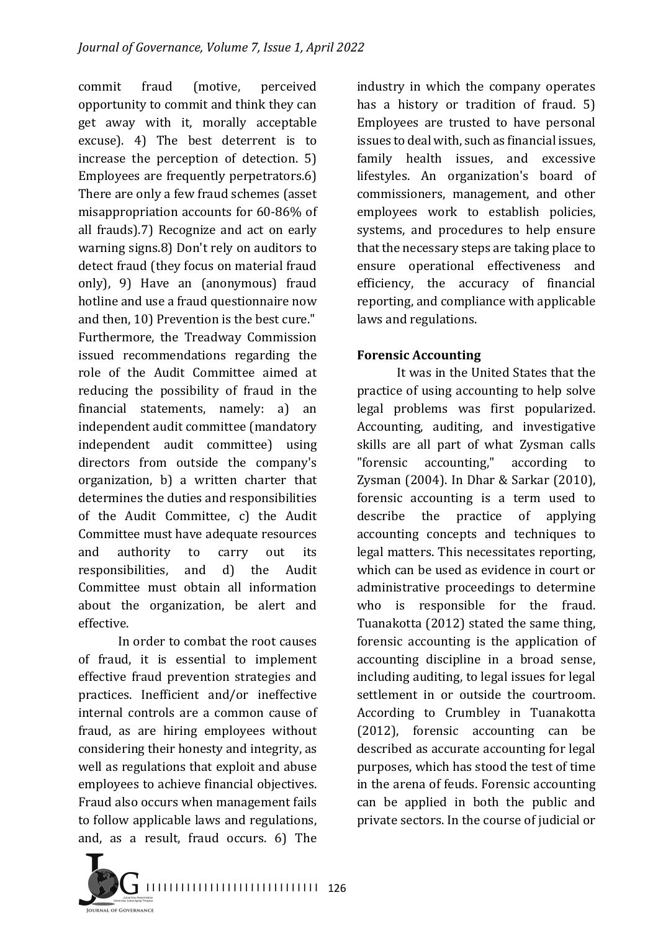commit fraud (motive, perceived opportunity to commit and think they can get away with it, morally acceptable excuse). 4) The best deterrent is to increase the perception of detection.  $5$ ) Employees are frequently perpetrators.6) There are only a few fraud schemes (asset misappropriation accounts for 60-86% of all frauds).7) Recognize and act on early warning signs.8) Don't rely on auditors to detect fraud (they focus on material fraud only), 9) Have an (anonymous) fraud hotline and use a fraud questionnaire now and then, 10) Prevention is the best cure." Furthermore, the Treadway Commission issued recommendations regarding the role of the Audit Committee aimed at reducing the possibility of fraud in the financial statements, namely: a) an independent audit committee (mandatory independent audit committee) using directors from outside the company's organization, b) a written charter that determines the duties and responsibilities of the Audit Committee, c) the Audit Committee must have adequate resources and authority to carry out its responsibilities, and d) the Audit Committee must obtain all information about the organization, be alert and effective.

In order to combat the root causes of fraud, it is essential to implement effective fraud prevention strategies and practices. Inefficient and/or ineffective internal controls are a common cause of fraud, as are hiring employees without considering their honesty and integrity, as well as regulations that exploit and abuse employees to achieve financial objectives. Fraud also occurs when management fails to follow applicable laws and regulations, and, as a result, fraud occurs. 6) The

industry in which the company operates has a history or tradition of fraud.  $5$ ) Employees are trusted to have personal issues to deal with, such as financial issues. family health issues, and excessive lifestyles. An organization's board of commissioners, management, and other employees work to establish policies, systems, and procedures to help ensure that the necessary steps are taking place to ensure operational effectiveness and efficiency, the accuracy of financial reporting, and compliance with applicable laws and regulations.

### **Forensic Accounting**

It was in the United States that the practice of using accounting to help solve legal problems was first popularized. Accounting, auditing, and investigative skills are all part of what Zysman calls "forensic accounting," according Zysman (2004). In Dhar & Sarkar (2010), forensic accounting is a term used to describe the practice of applying accounting concepts and techniques to legal matters. This necessitates reporting, which can be used as evidence in court or administrative proceedings to determine who is responsible for the fraud. Tuanakotta (2012) stated the same thing. forensic accounting is the application of accounting discipline in a broad sense, including auditing, to legal issues for legal settlement in or outside the courtroom. According to Crumbley in Tuanakotta (2012), forensic accounting can be described as accurate accounting for legal purposes, which has stood the test of time in the arena of feuds. Forensic accounting can be applied in both the public and private sectors. In the course of judicial or

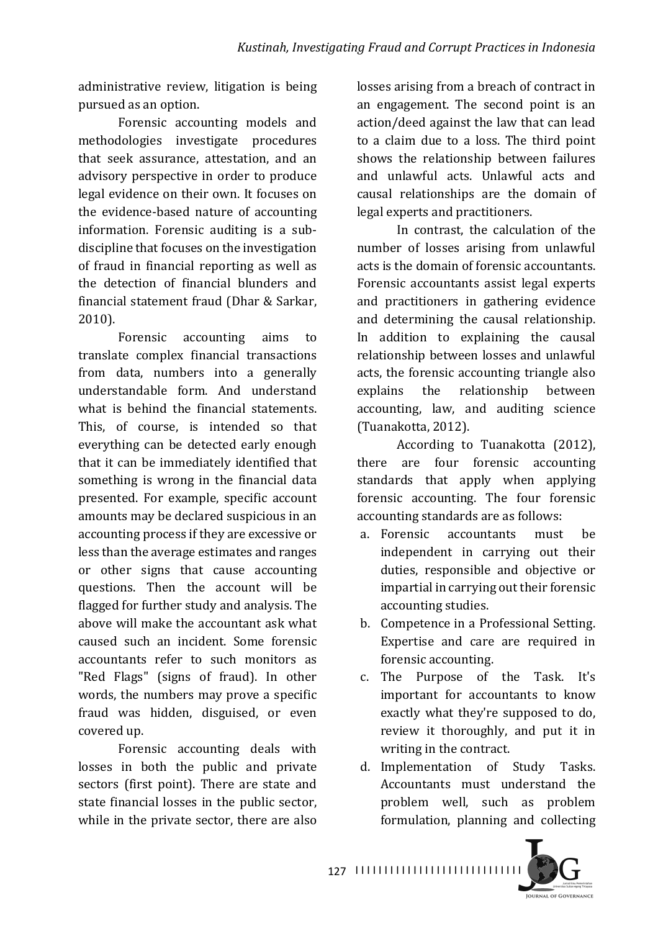administrative review, litigation is being pursued as an option.

Forensic accounting models and methodologies investigate procedures that seek assurance, attestation, and an advisory perspective in order to produce legal evidence on their own. It focuses on the evidence-based nature of accounting information. Forensic auditing is a subdiscipline that focuses on the investigation of fraud in financial reporting as well as the detection of financial blunders and financial statement fraud (Dhar & Sarkar, 2010).

Forensic accounting aims to translate complex financial transactions from data, numbers into a generally understandable form. And understand what is behind the financial statements. This, of course, is intended so that everything can be detected early enough that it can be immediately identified that something is wrong in the financial data presented. For example, specific account amounts may be declared suspicious in an accounting process if they are excessive or less than the average estimates and ranges or other signs that cause accounting questions. Then the account will be flagged for further study and analysis. The above will make the accountant ask what caused such an incident. Some forensic accountants refer to such monitors as "Red Flags" (signs of fraud). In other words, the numbers may prove a specific fraud was hidden, disguised, or even covered up.

Forensic accounting deals with losses in both the public and private sectors (first point). There are state and state financial losses in the public sector, while in the private sector, there are also

losses arising from a breach of contract in an engagement. The second point is an action/deed against the law that can lead to a claim due to a loss. The third point shows the relationship between failures and unlawful acts. Unlawful acts and causal relationships are the domain of legal experts and practitioners.

In contrast, the calculation of the number of losses arising from unlawful acts is the domain of forensic accountants. Forensic accountants assist legal experts and practitioners in gathering evidence and determining the causal relationship. In addition to explaining the causal relationship between losses and unlawful acts, the forensic accounting triangle also explains the relationship between accounting, law, and auditing science (Tuanakotta, 2012).

According to Tuanakotta (2012), there are four forensic accounting standards that apply when applying forensic accounting. The four forensic accounting standards are as follows:

- a. Forensic accountants must be independent in carrying out their duties, responsible and objective or impartial in carrying out their forensic accounting studies.
- b. Competence in a Professional Setting. Expertise and care are required in forensic accounting.
- c. The Purpose of the Task. It's important for accountants to know exactly what they're supposed to do, review it thoroughly, and put it in writing in the contract.
- d. Implementation of Study Tasks. Accountants must understand the problem well, such as problem formulation, planning and collecting



I I I I I I I I I I I I I I I I I I I I I I I I I I I I I 127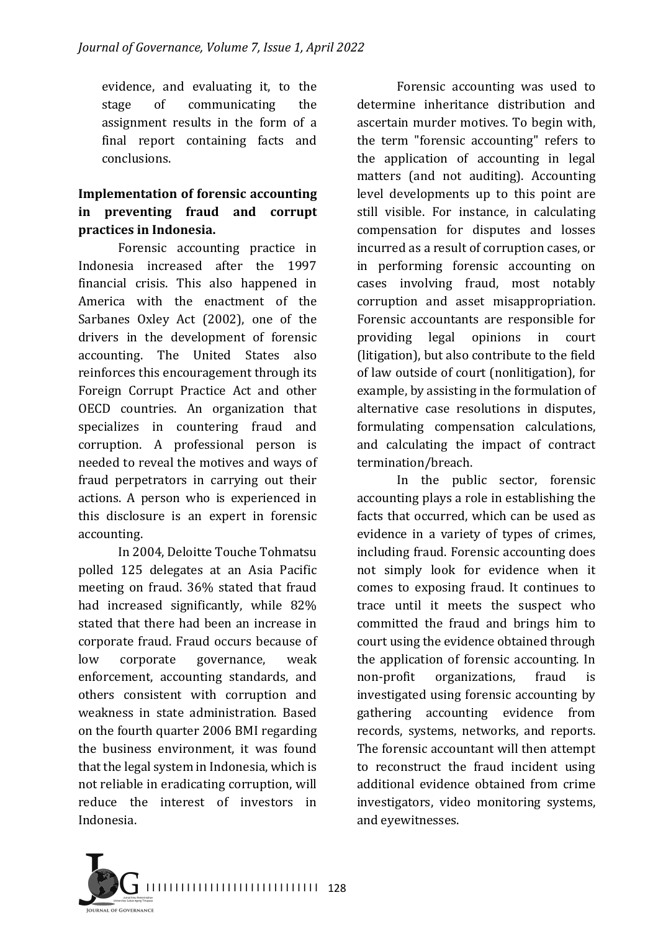evidence, and evaluating it, to the stage of communicating the assignment results in the form of a final report containing facts and conclusions.

# **Implementation of forensic accounting in** preventing fraud and corrupt practices in Indonesia.

Forensic accounting practice in Indonesia increased after the 1997 financial crisis. This also happened in America with the enactment of the Sarbanes Oxley Act (2002), one of the drivers in the development of forensic accounting. The United States also reinforces this encouragement through its Foreign Corrupt Practice Act and other OECD countries. An organization that specializes in countering fraud and corruption. A professional person is needed to reveal the motives and ways of fraud perpetrators in carrying out their actions. A person who is experienced in this disclosure is an expert in forensic accounting.

In 2004, Deloitte Touche Tohmatsu polled 125 delegates at an Asia Pacific meeting on fraud. 36% stated that fraud had increased significantly, while 82% stated that there had been an increase in corporate fraud. Fraud occurs because of low corporate governance, weak enforcement, accounting standards, and others consistent with corruption and weakness in state administration. Based on the fourth quarter 2006 BMI regarding the business environment, it was found that the legal system in Indonesia, which is not reliable in eradicating corruption, will reduce the interest of investors in Indonesia.

Forensic accounting was used to determine inheritance distribution and ascertain murder motives. To begin with, the term "forensic accounting" refers to the application of accounting in legal matters (and not auditing). Accounting level developments up to this point are still visible. For instance, in calculating compensation for disputes and losses incurred as a result of corruption cases, or in performing forensic accounting on cases involving fraud, most notably corruption and asset misappropriation. Forensic accountants are responsible for providing legal opinions in court (litigation), but also contribute to the field of law outside of court (nonlitigation), for example, by assisting in the formulation of alternative case resolutions in disputes, formulating compensation calculations, and calculating the impact of contract termination/breach.

In the public sector, forensic accounting plays a role in establishing the facts that occurred, which can be used as evidence in a variety of types of crimes. including fraud. Forensic accounting does not simply look for evidence when it comes to exposing fraud. It continues to trace until it meets the suspect who committed the fraud and brings him to court using the evidence obtained through the application of forensic accounting. In non-profit organizations, fraud is investigated using forensic accounting by gathering accounting evidence from records, systems, networks, and reports. The forensic accountant will then attempt to reconstruct the fraud incident using additional evidence obtained from crime investigators, video monitoring systems, and eyewitnesses.

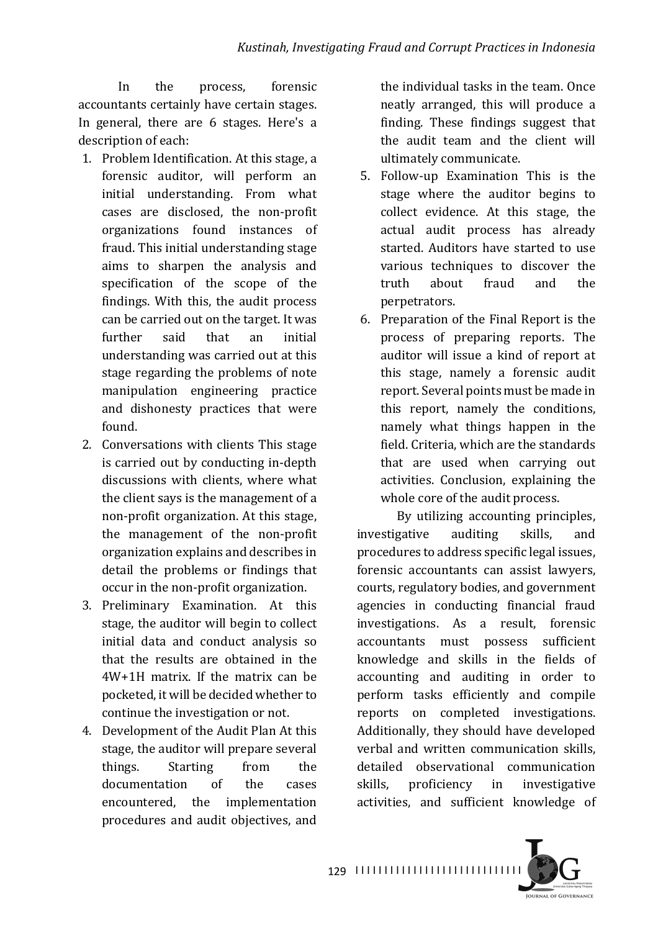In the process, forensic accountants certainly have certain stages. In general, there are 6 stages. Here's a description of each:

- 1. Problem Identification. At this stage, a forensic auditor, will perform an initial understanding. From what cases are disclosed, the non-profit organizations found instances of fraud. This initial understanding stage aims to sharpen the analysis and specification of the scope of the findings. With this, the audit process can be carried out on the target. It was further said that an initial understanding was carried out at this stage regarding the problems of note manipulation engineering practice and dishonesty practices that were found.
- 2. Conversations with clients This stage is carried out by conducting in-depth discussions with clients, where what the client says is the management of a non-profit organization. At this stage, the management of the non-profit organization explains and describes in detail the problems or findings that occur in the non-profit organization.
- 3. Preliminary Examination. At this stage, the auditor will begin to collect initial data and conduct analysis so that the results are obtained in the  $4W+1H$  matrix. If the matrix can be pocketed, it will be decided whether to continue the investigation or not.
- 4. Development of the Audit Plan At this stage, the auditor will prepare several things. Starting from the documentation of the cases encountered, the implementation procedures and audit objectives, and

the individual tasks in the team. Once neatly arranged, this will produce a finding. These findings suggest that the audit team and the client will ultimately communicate.

- 5. Follow-up Examination This is the stage where the auditor begins to collect evidence. At this stage, the actual audit process has already started. Auditors have started to use various techniques to discover the truth about fraud and the perpetrators.
- 6. Preparation of the Final Report is the process of preparing reports. The auditor will issue a kind of report at this stage, namely a forensic audit report. Several points must be made in this report, namely the conditions, namely what things happen in the field. Criteria, which are the standards that are used when carrying out activities. Conclusion, explaining the whole core of the audit process.

By utilizing accounting principles, investigative auditing skills, and procedures to address specific legal issues, forensic accountants can assist lawyers, courts, regulatory bodies, and government agencies in conducting financial fraud investigations. As a result, forensic accountants must possess sufficient knowledge and skills in the fields of accounting and auditing in order to perform tasks efficiently and compile reports on completed investigations. Additionally, they should have developed verbal and written communication skills. detailed observational communication skills, proficiency in investigative activities, and sufficient knowledge of



129 | 11111111111111111111111111111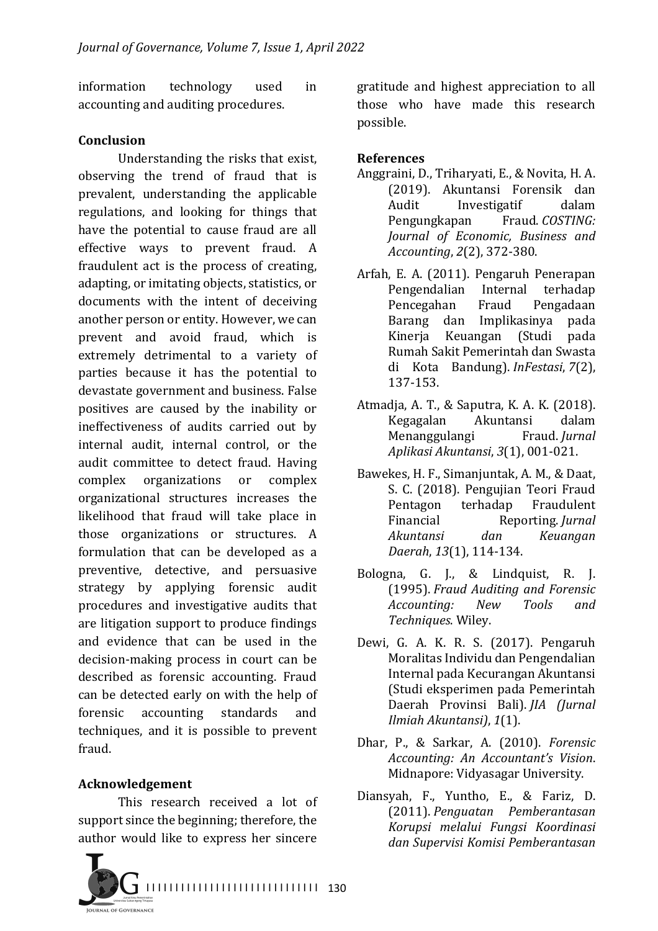information technology used in accounting and auditing procedures.

#### **Conclusion**

Understanding the risks that exist, observing the trend of fraud that is prevalent, understanding the applicable regulations, and looking for things that have the potential to cause fraud are all effective ways to prevent fraud. A fraudulent act is the process of creating, adapting, or imitating objects, statistics, or documents with the intent of deceiving another person or entity. However, we can prevent and avoid fraud, which is extremely detrimental to a variety of parties because it has the potential to devastate government and business. False positives are caused by the inability or ineffectiveness of audits carried out by internal audit, internal control, or the audit committee to detect fraud. Having complex organizations or complex organizational structures increases the likelihood that fraud will take place in those organizations or structures. A formulation that can be developed as a preventive, detective, and persuasive strategy by applying forensic audit procedures and investigative audits that are litigation support to produce findings and evidence that can be used in the decision-making process in court can be described as forensic accounting. Fraud can be detected early on with the help of forensic accounting standards and techniques, and it is possible to prevent fraud.

### **Acknowledgement**

This research received a lot of support since the beginning; therefore, the author would like to express her sincere



gratitude and highest appreciation to all those who have made this research possible.

### **References**

- Anggraini, D., Triharyati, E., & Novita, H. A. (2019). Akuntansi Forensik dan Audit Investigatif dalam Pengungkapan Fraud. *COSTING: Journal of Economic, Business and Accounting*, *2*(2), 372-380.
- Arfah, E. A. (2011). Pengaruh Penerapan Pengendalian Internal terhadap Pencegahan Fraud Pengadaan Barang dan Implikasinya pada Kinerja Keuangan (Studi pada Rumah Sakit Pemerintah dan Swasta di Kota Bandung). *InFestasi*, *7*(2), 137-153.
- Atmadja, A. T., & Saputra, K. A. K. (2018). Kegagalan Akuntansi dalam Menanggulangi Fraud. *Jurnal Aplikasi Akuntansi*, *3*(1), 001-021.
- Bawekes, H. F., Simanjuntak, A. M., & Daat, S. C. (2018). Pengujian Teori Fraud Pentagon terhadap Fraudulent Financial Reporting. *Jurnal Akuntansi dan Keuangan Daerah*, *13*(1), 114-134.
- Bologna, G. J., & Lindquist, R. J. (1995). *Fraud Auditing and Forensic Accounting: New Tools and Techniques*. Wiley.
- Dewi, G. A. K. R. S. (2017). Pengaruh Moralitas Individu dan Pengendalian Internal pada Kecurangan Akuntansi (Studi eksperimen pada Pemerintah Daerah Provinsi Bali). *JIA (Jurnal Ilmiah Akuntansi)*, *1*(1).
- Dhar, P., & Sarkar, A. (2010). *Forensic Accounting: An Accountant's Vision*. Midnapore: Vidyasagar University.
- Diansyah, F., Yuntho, E., & Fariz, D. (2011). *Penguatan Pemberantasan Korupsi melalui Fungsi Koordinasi dan Supervisi Komisi Pemberantasan*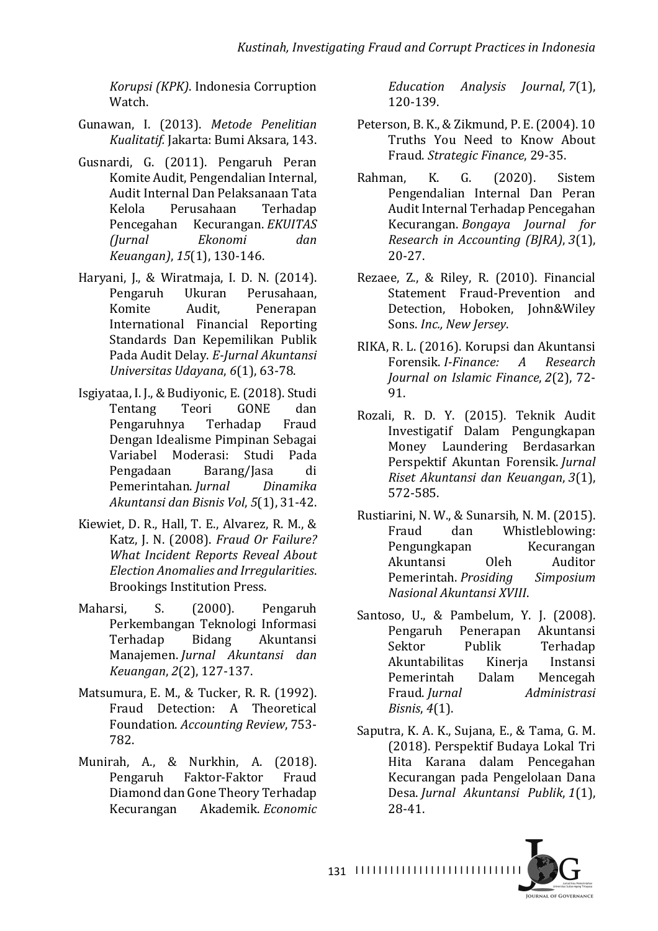*Korupsi (KPK)*. Indonesia Corruption Watch.

- Gunawan, I. (2013). Metode Penelitian *Kualitatif.* Jakarta: Bumi Aksara, 143.
- Gusnardi, G. (2011). Pengaruh Peran Komite Audit, Pengendalian Internal, Audit Internal Dan Pelaksanaan Tata Kelola Perusahaan Terhadap Pencegahan Kecurangan. *EKUITAS (Jurnal Ekonomi dan Keuangan)*, *15*(1), 130-146.
- Haryani, J., & Wiratmaja, I. D. N. (2014). Pengaruh Ukuran Perusahaan, Komite Audit, Penerapan International Financial Reporting Standards Dan Kepemilikan Publik Pada Audit Delay. E-Jurnal Akuntansi *Universitas Udayana*, *6*(1), 63-78.
- Isgiyataa, I. J., & Budiyonic, E. (2018). Studi Tentang Teori GONE dan Pengaruhnya Terhadap Fraud Dengan Idealisme Pimpinan Sebagai Variabel Moderasi: Studi Pada Pengadaan Barang/Jasa di Pemerintahan. *Jurnal Dinamika Akuntansi dan Bisnis Vol*, *5*(1), 31-42.
- Kiewiet, D. R., Hall, T. E., Alvarez, R. M., & Katz, J. N. (2008). *Fraud Or Failure? What Incident Reports Reveal About Election Anomalies and Irregularities*. Brookings Institution Press.
- Maharsi, S. (2000). Pengaruh Perkembangan Teknologi Informasi Terhadap Bidang Akuntansi Manajemen. *Jurnal Akuntansi dan Keuangan*, *2*(2), 127-137.
- Matsumura, E. M., & Tucker, R. R. (1992). Fraud Detection: A Theoretical Foundation. *Accounting Review*, 753-782.
- Munirah, A., & Nurkhin, A. (2018). Pengaruh Faktor-Faktor Fraud Diamond dan Gone Theory Terhadap Kecurangan Akademik. *Economic*

*Education Analysis Journal*, *7*(1), 120-139.

- Peterson, B. K., & Zikmund, P. E. (2004). 10 Truths You Need to Know About Fraud. *Strategic Finance*, 29-35.
- Rahman, K. G. (2020). Sistem Pengendalian Internal Dan Peran Audit Internal Terhadap Pencegahan Kecurangan. *Bongaya Journal for Research in Accounting (BJRA)*, *3*(1), 20-27.
- Rezaee, Z., & Riley, R. (2010). Financial Statement Fraud-Prevention and Detection, Hoboken, John&Wiley Sons. *Inc., New Jersey*.
- RIKA, R. L. (2016). Korupsi dan Akuntansi Forensik. *I-Finance: A Research Journal on Islamic Finance, 2(2), 72-*91.
- Rozali, R. D. Y. (2015). Teknik Audit Investigatif Dalam Pengungkapan Money Laundering Berdasarkan Perspektif Akuntan Forensik. *Jurnal Riset Akuntansi dan Keuangan*, *3*(1), 572-585.
- Rustiarini, N. W., & Sunarsih, N. M. (2015). Fraud dan Whistleblowing: Pengungkapan Kecurangan Akuntansi Oleh Auditor Pemerintah. *Prosiding Simposium Nasional Akuntansi XVIII*.
- Santoso, U., & Pambelum, Y. J. (2008). Pengaruh Penerapan Akuntansi Sektor Publik Terhadap Akuntabilitas Kinerja Instansi Pemerintah Dalam Mencegah Fraud. *Jurnal Administrasi Bisnis*, *4*(1).
- Saputra, K. A. K., Sujana, E., & Tama, G. M. (2018). Perspektif Budaya Lokal Tri Hita Karana dalam Pencegahan Kecurangan pada Pengelolaan Dana Desa. *Jurnal Akuntansi Publik*, *1*(1), 28-41.



I I I I I I I I I I I I I I I I I I I I I I I I I I I I I 131